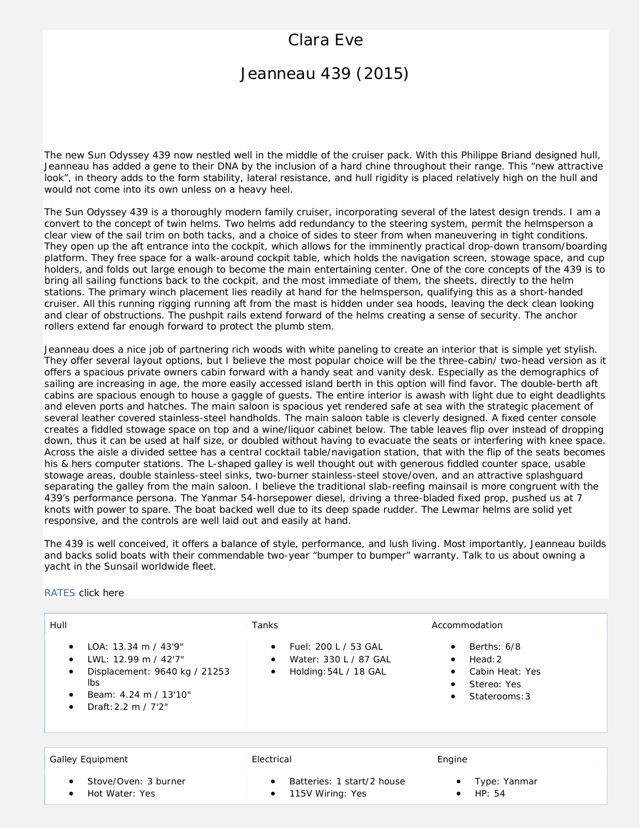# Clara Eve

## Jeanneau 439 (2015)

The new Sun Odyssey 439 now nestled well in the middle of the cruiser pack. With this Philippe Briand designed hull, Jeanneau has added a gene to their DNA by the inclusion of a hard chine throughout their range. This "new attractive look", in theory adds to the form stability, lateral resistance, and hull rigidity is placed relatively high on the hull and would not come into its own unless on a heavy heel.

The Sun Odyssey 439 is a thoroughly modern family cruiser, incorporating several of the latest design trends. I am a convert to the concept of twin helms. Two helms add redundancy to the steering system, permit the helmsperson a clear view of the sail trim on both tacks, and a choice of sides to steer from when maneuvering in tight conditions. They open up the aft entrance into the cockpit, which allows for the imminently practical drop-down transom/boarding platform. They free space for a walk-around cockpit table, which holds the navigation screen, stowage space, and cup holders, and folds out large enough to become the main entertaining center. One of the core concepts of the 439 is to bring all sailing functions back to the cockpit, and the most immediate of them, the sheets, directly to the helm stations. The primary winch placement lies readily at hand for the helmsperson, qualifying this as a short-handed cruiser. All this running rigging running aft from the mast is hidden under sea hoods, leaving the deck clean looking and clear of obstructions. The pushpit rails extend forward of the helms creating a sense of security. The anchor rollers extend far enough forward to protect the plumb stem.

Jeanneau does a nice job of partnering rich woods with white paneling to create an interior that is simple yet stylish. They offer several layout options, but I believe the most popular choice will be the three-cabin/ two-head version as it offers a spacious private owners cabin forward with a handy seat and vanity desk. Especially as the demographics of sailing are increasing in age, the more easily accessed island berth in this option will find favor. The double-berth aft cabins are spacious enough to house a gaggle of guests. The entire interior is awash with light due to eight deadlights and eleven ports and hatches. The main saloon is spacious yet rendered safe at sea with the strategic placement of several leather covered stainless-steel handholds. The main saloon table is cleverly designed. A fixed center console creates a fiddled stowage space on top and a wine/liquor cabinet below. The table leaves flip over instead of dropping down, thus it can be used at half size, or doubled without having to evacuate the seats or interfering with knee space. Across the aisle a divided settee has a central cocktail table/navigation station, that with the flip of the seats becomes his & hers computer stations. The L-shaped galley is well thought out with generous fiddled counter space, usable stowage areas, double stainless-steel sinks, two-burner stainless-steel stove/oven, and an attractive splashguard separating the galley from the main saloon. I believe the traditional slab-reefing mainsail is more congruent with the 439's performance persona. The Yanmar 54-horsepower diesel, driving a three-bladed fixed prop, pushed us at 7 knots with power to spare. The boat backed well due to its deep spade rudder. The Lewmar helms are solid yet responsive, and the controls are well laid out and easily at hand.

The 439 is well conceived, it offers a balance of style, performance, and lush living. Most importantly, Jeanneau builds and backs solid boats with their commendable two-year "bumper to bumper" warranty. Talk to us about owning a yacht in the Sunsail worldwide fleet.

[RATES](http://www.islandcruising.com/rates-charter.htm) click here

### Hull **Tanks Tanks Accommodation** • LOA: 13.34 m / 43'9" • LWL: 12.99 m / 42'7" • Displacement: 9640 kg / 21253 lbs • Beam: 4.24 m / 13'10" • Draft:2.2 m / 7'2" • Fuel: 200 L / 53 GAL • Water: 330 L / 87 GAL • Holding:54L / 18 GAL • Berths: 6/8 Head: 2 • Cabin Heat: Yes Stereo: Yes Staterooms: 3 Galley Equipment **Electrical** Electrical Engine Stove/Oven: 3 burner • Hot Water: Yes • Batteries: 1 start/2 house 115V Wiring: Yes • Type: Yanmar • HP: 54